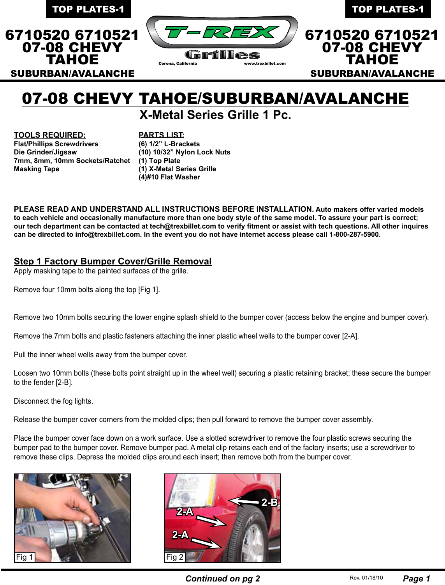

# 07-08 CHEVY TAHOE/SUBURBAN/AVALANCHE

**X-Metal Series Grille 1 Pc.**

**TOOLS REQUIRED: Flat/Phillips Screwdrivers Die Grinder/Jigsaw 7mm, 8mm, 10mm Sockets/Ratchet (1) Top Plate Masking Tape**

#### **PARTS LIST:**

**(6) 1/2" L-Brackets (10) 10/32" Nylon Lock Nuts (1) X-Metal Series Grille (4)#10 Flat Washer** 

**PLEASE READ AND UNDERSTAND ALL INSTRUCTIONS BEFORE INSTALLATION. Auto makers offer varied models to each vehicle and occasionally manufacture more than one body style of the same model. To assure your part is correct; our tech department can be contacted at tech@trexbillet.com to verify fitment or assist with tech questions. All other inquires can be directed to info@trexbillet.com. In the event you do not have internet access please call 1-800-287-5900.**

## **Step 1 Factory Bumper Cover/Grille Removal**

Apply masking tape to the painted surfaces of the grille.

Remove four 10mm bolts along the top [Fig 1].

Remove two 10mm bolts securing the lower engine splash shield to the bumper cover (access below the engine and bumper cover).

Remove the 7mm bolts and plastic fasteners attaching the inner plastic wheel wells to the bumper cover [2-A].

Pull the inner wheel wells away from the bumper cover.

Loosen two 10mm bolts (these bolts point straight up in the wheel well) securing a plastic retaining bracket; these secure the bumper to the fender [2-B].

Disconnect the fog lights.

Release the bumper cover corners from the molded clips; then pull forward to remove the bumper cover assembly.

Place the bumper cover face down on a work surface. Use a slotted screwdriver to remove the four plastic screws securing the bumper pad to the bumper cover. Remove bumper pad. A metal clip retains each end of the factory inserts; use a screwdriver to remove these clips. Depress the molded clips around each insert; then remove both from the bumper cover.